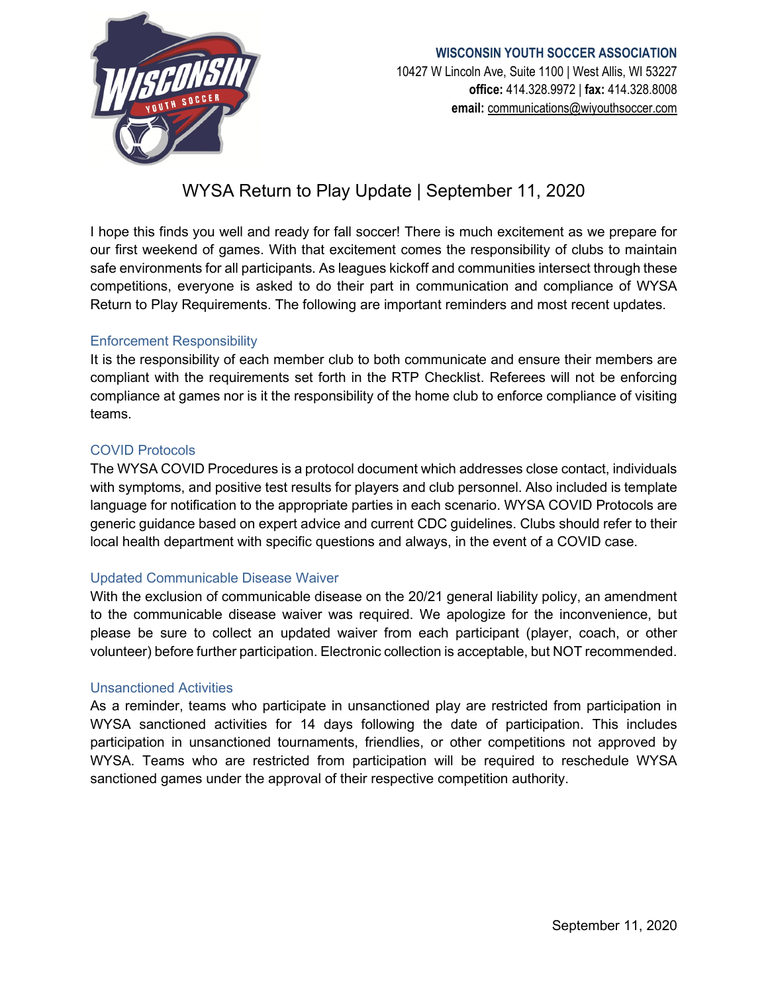

# **WISCONSIN YOUTH SOCCER ASSOCIATION** 10427 W Lincoln Ave, Suite 1100 | West Allis, WI 53227 **office:** 414.328.9972 | **fax:** 414.328.8008 **email:** [communications@wiyouthsoccer.com](mailto:communications@wiyouthsoccer.com)

# WYSA Return to Play Update | September 11, 2020

I hope this finds you well and ready for fall soccer! There is much excitement as we prepare for our first weekend of games. With that excitement comes the responsibility of clubs to maintain safe environments for all participants. As leagues kickoff and communities intersect through these competitions, everyone is asked to do their part in communication and compliance of WYSA Return to Play Requirements. The following are important reminders and most recent updates.

# Enforcement Responsibility

It is the responsibility of each member club to both communicate and ensure their members are compliant with the requirements set forth in the RTP Checklist. Referees will not be enforcing compliance at games nor is it the responsibility of the home club to enforce compliance of visiting teams.

### COVID Protocols

The WYSA COVID Procedures is a protocol document which addresses close contact, individuals with symptoms, and positive test results for players and club personnel. Also included is template language for notification to the appropriate parties in each scenario. WYSA COVID Protocols are generic guidance based on expert advice and current CDC guidelines. Clubs should refer to their local health department with specific questions and always, in the event of a COVID case.

#### Updated Communicable Disease Waiver

With the exclusion of communicable disease on the 20/21 general liability policy, an amendment to the communicable disease waiver was required. We apologize for the inconvenience, but please be sure to collect an updated waiver from each participant (player, coach, or other volunteer) before further participation. Electronic collection is acceptable, but NOT recommended.

#### Unsanctioned Activities

As a reminder, teams who participate in unsanctioned play are restricted from participation in WYSA sanctioned activities for 14 days following the date of participation. This includes participation in unsanctioned tournaments, friendlies, or other competitions not approved by WYSA. Teams who are restricted from participation will be required to reschedule WYSA sanctioned games under the approval of their respective competition authority.